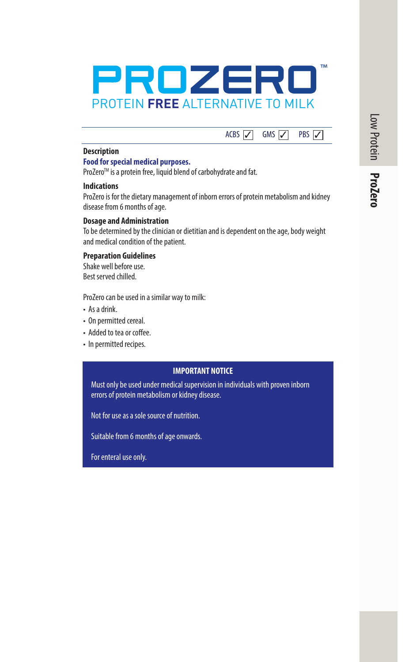

# ACBS  $\boxed{\diagup}$  GMS  $\boxed{\diagup}$  PBS  $\boxed{\diagup}$

### **Description**

# **Food for special medical purposes.**

ProZero™ is a protein free, liquid blend of carbohydrate and fat.

#### **Indications**

ProZero is for the dietary management of inborn errors of protein metabolism and kidney disease from 6 months of age.

## **Dosage and Administration**

To be determined by the clinician or dietitian and is dependent on the age, body weight and medical condition of the patient.

## **Preparation Guidelines**

Shake well before use. Best served chilled.

ProZero can be used in a similar way to milk:

- As a drink.
- On permitted cereal.
- Added to tea or coffee.
- In permitted recipes.

#### **IMPORTANT NOTICE**

Must only be used under medical supervision in individuals with proven inborn errors of protein metabolism or kidney disease.

Not for use as a sole source of nutrition.

Suitable from 6 months of age onwards.

For enteral use only.

Low Protein